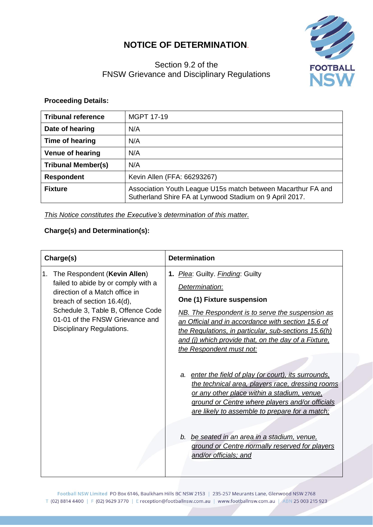## **NOTICE OF DETERMINATION**.

## Section 9.2 of the FNSW Grievance and Disciplinary Regulations



## **Proceeding Details:**

| <b>Tribunal reference</b> | <b>MGPT 17-19</b>                                                                                                       |  |
|---------------------------|-------------------------------------------------------------------------------------------------------------------------|--|
| Date of hearing           | N/A                                                                                                                     |  |
| Time of hearing           | N/A                                                                                                                     |  |
| <b>Venue of hearing</b>   | N/A                                                                                                                     |  |
| <b>Tribunal Member(s)</b> | N/A                                                                                                                     |  |
| <b>Respondent</b>         | Kevin Allen (FFA: 66293267)                                                                                             |  |
| <b>Fixture</b>            | Association Youth League U15s match between Macarthur FA and<br>Sutherland Shire FA at Lynwood Stadium on 9 April 2017. |  |

*This Notice constitutes the Executive's determination of this matter.*

## **Charge(s) and Determination(s):**

| Charge(s)                                                                                                                                                                                                                                      | <b>Determination</b>                                                                                                                                                                                                                                                                                                                                                                     |
|------------------------------------------------------------------------------------------------------------------------------------------------------------------------------------------------------------------------------------------------|------------------------------------------------------------------------------------------------------------------------------------------------------------------------------------------------------------------------------------------------------------------------------------------------------------------------------------------------------------------------------------------|
| The Respondent (Kevin Allen)<br>1.<br>failed to abide by or comply with a<br>direction of a Match office in<br>breach of section 16.4(d),<br>Schedule 3, Table B, Offence Code<br>01-01 of the FNSW Grievance and<br>Disciplinary Regulations. | 1. Plea: Guilty. Finding: Guilty<br>Determination:<br>One (1) Fixture suspension<br><b>NB.</b> The Respondent is to serve the suspension as<br>an Official and in accordance with section 15.6 of<br>the Regulations, in particular, sub-sections 15.6(h)<br>and (i) which provide that, on the day of a Fixture,<br>the Respondent must not:                                            |
|                                                                                                                                                                                                                                                | a. enter the field of play (or court), its surrounds,<br>the technical area, players race, dressing rooms<br>or any other place within a stadium, venue,<br>ground or Centre where players and/or officials<br>are likely to assemble to prepare for a match:<br>b. be seated in an area in a stadium, venue,<br>ground or Centre normally reserved for players<br>and/or officials; and |